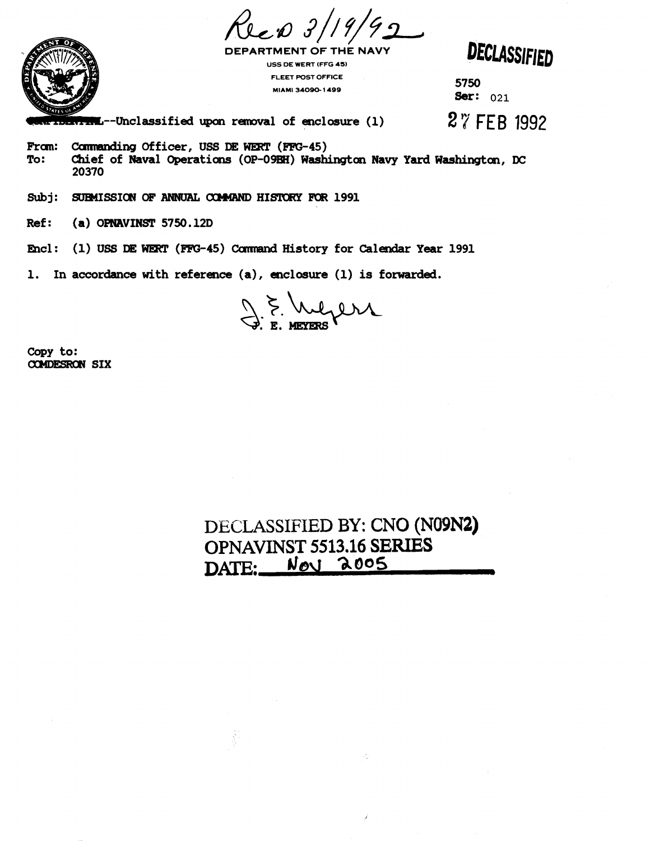

**DEPARTMENT OF THE NAVY USS DE WERT (FFG 45) FLEET POST OFFICE MIAMI 34090 1499 5750** 

DECLASSIFIED

**Ser: 021** 

**--Unclassified tpxln removal of enclosure (1) 27 FEB** 1992

**Fram: Commanding Officer, USS DE WERT (FFG-45)**<br>To: Chief of Naval Operations (OP-09BH) Wash: **To: Cbief of Naval Operations (OP-Om) Washingtar Navy Yard Washingtax, DC 20370** 

Subj: **SUBMISSION OF ANNUAL COMMAND HISTORY FOR 1991** 

**Ref** : **(a) OPNRVINST 5750.12D** 

**<sup>1</sup>**: **(1) USS WE#r (-45)** Camrand **History for Calendar Year 1991** 

**1. In accordance with reference (a), enclosure (1) is forwarded.** 

J.E. Mejers

**copy to:**  *ccmEsRm* **SIX** 

## **DECLASSIFIED BY: CNO (N09N2) OPNAVINST 5513.16 SERIES**   $\frac{1000}{2005}$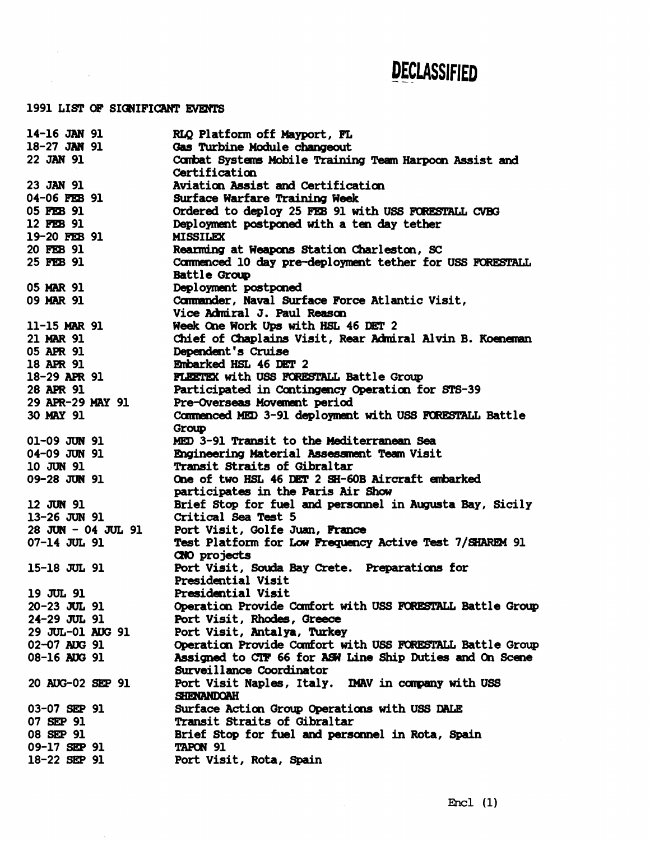## **DECLASSIFIED**

## 1991 LIST OF SIGNIFICANT EVENTS

 $\mathcal{L}(\mathcal{A})$  and  $\mathcal{L}(\mathcal{A})$ 

| 14-16 JAN 91<br>RLQ Platform off Mayport, FL                                         |  |
|--------------------------------------------------------------------------------------|--|
| 18-27 JAN 91<br>Gas Turbine Module changeout                                         |  |
| 22 JAN 91<br>Combat Systems Mobile Training Team Harpoon Assist and                  |  |
| Certification                                                                        |  |
| 23 JAN 91<br>Aviation Assist and Certification                                       |  |
| 04-06 FEB 91<br>Surface Warfare Training Week                                        |  |
| 05 FEB 91<br>Ordered to deploy 25 FEB 91 with USS FORESTALL CVBG                     |  |
| 12 FEB 91<br>Deployment postponed with a ten day tether                              |  |
| 19-20 FEB 91<br><b>MISSILEX</b>                                                      |  |
| 20 FEB 91<br>Rearming at Weapons Station Charleston, SC                              |  |
| 25 FEB 91<br>Commenced 10 day pre-deployment tether for USS FORESTALL                |  |
| Battle Group                                                                         |  |
| Deployment postponed<br>05 MAR 91                                                    |  |
| Commander, Naval Surface Force Atlantic Visit,<br>09 MAR 91                          |  |
| Vice Admiral J. Paul Reason                                                          |  |
| 11-15 MAR 91<br>Week One Work Ups with HSL 46 DET 2                                  |  |
| 21 MAR 91<br>Chief of Chaplains Visit, Rear Admiral Alvin B. Koeneman                |  |
| 05 APR 91<br>Dependent's Cruise                                                      |  |
| Embarked HSL 46 DET 2<br>18 APR 91                                                   |  |
| 18-29 APR 91<br>FLEETEX with USS FORESTALL Battle Group                              |  |
| 28 APR 91<br>Participated in Contingency Operation for STS-39                        |  |
| Pre-Overseas Movement period<br>29 APR-29 MAY 91                                     |  |
| 30 MAY 91<br>Commenced MED 3-91 deployment with USS FORESTALL Battle                 |  |
| Group                                                                                |  |
| 01-09 JUN 91<br>MED 3-91 Transit to the Mediterranean Sea                            |  |
| $04-09$ JUN 91<br>Engineering Material Assessment Team Visit                         |  |
| 10 JUN 91<br>Transit Straits of Gibraltar                                            |  |
| 09-28 JUN 91<br>One of two HSL 46 DET 2 SH-60B Aircraft embarked                     |  |
| participates in the Paris Air Show                                                   |  |
| Brief Stop for fuel and personnel in Augusta Bay, Sicily<br>12 JUN 91                |  |
| 13-26 JUN 91<br>Critical Sea Test 5                                                  |  |
| $28$ JUN - 04 JUL 91<br>Port Visit, Golfe Juan, France                               |  |
| $07-14$ JUL 91<br>Test Platform for Low Frequency Active Test 7/SHAREM 91            |  |
| CNO projects                                                                         |  |
| Port Visit, Souda Bay Crete. Preparations for<br>15-18 JUL 91                        |  |
| Presidential Visit                                                                   |  |
| 19 JUL 91<br>Presidential Visit                                                      |  |
| Operation Provide Comfort with USS FORESTALL Battle Group<br>$20 - 23$ JUL 91        |  |
| Port Visit, Rhodes, Greece<br>$24-29$ JUL 91                                         |  |
| 29 JUL-01 AUG 91<br>Port Visit, Antalya, Turkey                                      |  |
| Operation Provide Comfort with USS FORESTALL Battle Group<br>02-07 AUG 91            |  |
| Assigned to CTF 66 for ASW Line Ship Duties and On Scene<br>08-16 AUG 91             |  |
| Surveillance Coordinator                                                             |  |
| Port Visit Naples, Italy. DWAV in company with USS<br>20 AUG-02 SEP 91<br>SHENANDOAH |  |
| Surface Action Group Operations with USS DALE<br>03-07 SEP 91                        |  |
| Transit Straits of Gibraltar<br>07 SEP 91                                            |  |
|                                                                                      |  |
| 08 SEP 91                                                                            |  |
| Brief Stop for fuel and personnel in Rota, Spain<br>09-17 SEP 91<br><b>TAPON 91</b>  |  |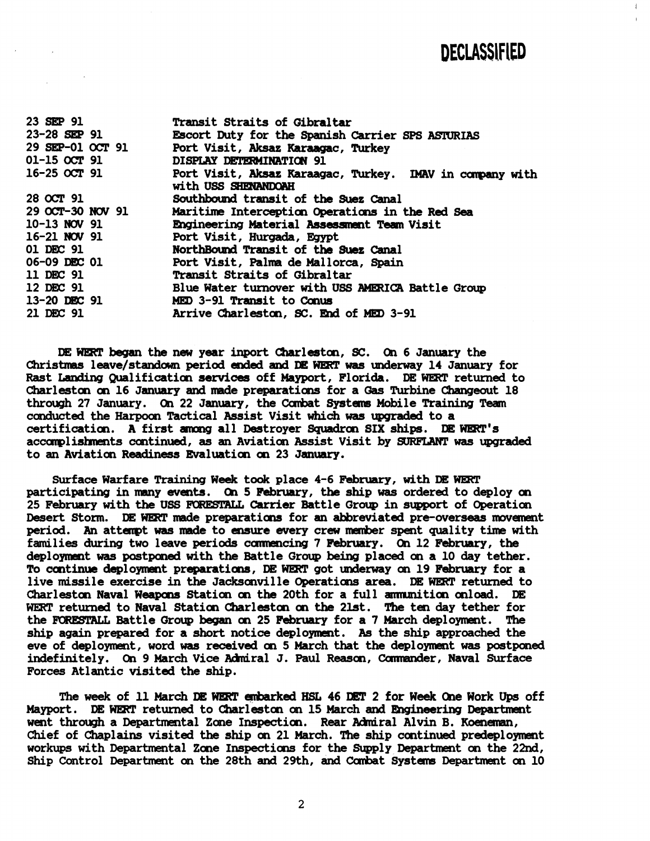**DECLASSIFIED** 

L

| 23 SEP 91        | Transit Straits of Gibraltar                                                    |
|------------------|---------------------------------------------------------------------------------|
| 23-28 SEP 91     | Escort Duty for the Spanish Carrier SPS ASTURIAS                                |
| 29 SEP-01 OCT 91 | Port Visit, Aksaz Karaagac, Turkey                                              |
| 01-15 OCT 91     | DISPLAY DETERMINATION 91                                                        |
| $16-25$ OCT 91   | Port Visit, Aksaz Karaagac, Turkey. IMAV in company with<br>with USS SHENANDOAH |
| 28 OCT 91        | Southbound transit of the Suez Canal                                            |
| 29 OCT-30 NOV 91 | Maritime Interception Operations in the Red Sea                                 |
| 10-13 NOV 91     | Engineering Material Assessment Team Visit                                      |
| 16-21 NOV 91     | Port Visit, Hurgada, Egypt                                                      |
| 01 DEC 91        | NorthBound Transit of the Suez Canal                                            |
| 06-09 DEC 01     | Port Visit, Palma de Mallorca, Spain                                            |
| 11 DEC 91        | Transit Straits of Gibraltar                                                    |
| 12 DEC 91        | Blue Water turnover with USS AMERICA Battle Group                               |
| 13-20 DEC 91     | MED 3-91 Transit to Conus                                                       |
| 21 DEC 91        | Arrive Charleston, SC. End of MED 3-91                                          |

**DE- began the new year inport Cbarlestan, SC. On 6 January the Christmas leave/staradawn period eaded and E WERP was underway 14 January for**  Rast Landing Qualification services off Mayport, Florida. DE WERT returned to **Charleston on 16 January and made preparations for a Gas Turbine Changeout 18**  through 27 January. On 22 January, the Combat Systems Mobile Training Team **cunducted the Harpoon Tactical Assist Visit which was** upgmded **to a certification. A first mmg all Dastroyer Squadran SIX ships. IIE WIRT's**  accomplishments continued, as an Aviation Assist Visit by *SURFLANT* was upgraded to an Aviation Readiness Evaluation on 23 January.

**Surface Warfare Training Week to& place 4-6 February, with DE WERT**  participating in many events. On 5 February, the ship was ordered to deploy on **25 February with the USS Carrier Battle Group in support of Operatian Desert Storm. DE WEtT made preparatians for an abbreviated pre-overseas movement period. An attempt was made to me every crew number spent quality time with families during two leave periods cmwncing 7 February. On 12 February, the deploymat was postponed with the Battle Group being placed an a 10 day tether.**  To continue deployment preparations, DE WERT got underway on 19 February for a live missile exercise in the Jacksonville Operations area. DE WERT returned to Charleston Naval Weapons Station on the 20th for a full ammunition onload. DE **WERT returned to Naval Statian Charleston on the 2lst. The ten day tether for**  the FORESTALL Battle Group began on 25 February for a 7 March deployment. The **ship again prepared for a short notice deployment. As the ship approached the eve of deployment, word was recsived on 5 March that the deployment was postwed**  indefinitely. On 9 March Vice Admiral J. Paul Reason, Commander, Naval Surface **Forces Atlantic visited the ship.** 

**The** week **of 11 March DE eked HSL 46 2 for Week One Work** Ups **off**  Mayport. DE WERT returned to Charleston on 15 March and Engineering Department went through a Departmental Zone Inspection. Rear Admiral Alvin B. Koeneman, Chief of Chaplains visited the ship on 21 March. The ship continued predeployment workups with Departmental Zone Inspections for the Supply Department on the 22nd, Ship Control Department on the 28th and 29th, and Combat Systems Department on 10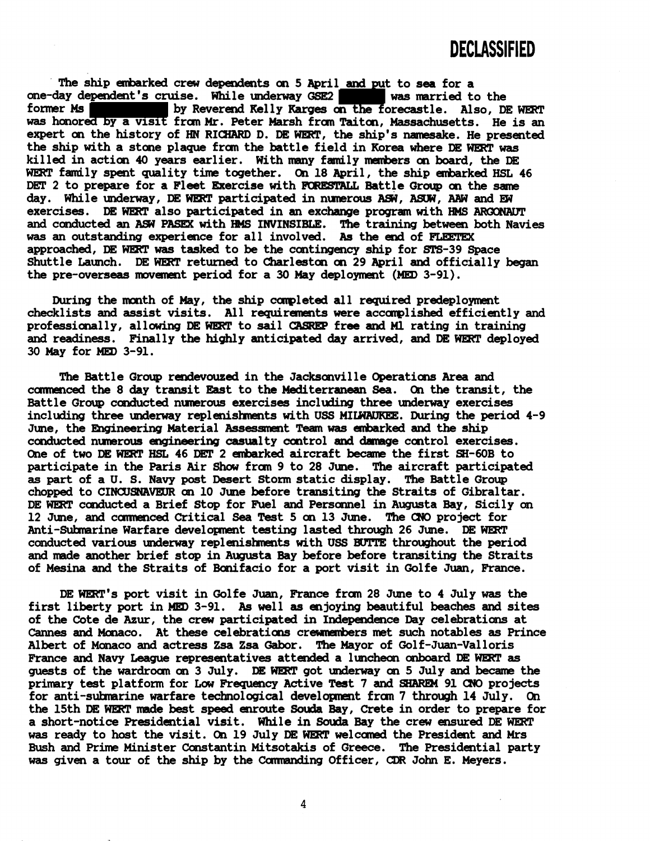The ship embarked crew dependents on 5 April and put to sea for a **one-day dependent's cruise.** While underway GSE2 **was married to the former Ms Example 2** by Reverend Kelly Karges on the forecastle. Also, Di by Reverend Kelly Karges on the forecastle. Also, DE WERT was honored by a visit from Mr. Peter Marsh from Taiton, Massachusetts. He is an expert on the history of HN RICHARD D. DE WERT, the ship's namesake. He presented **the ship** with **a stare plaque fran the battle field in Korea where DE WWT was killed in action 40 years earlier. With many family** hrs **on board,** the **DE WWT fandly spent quality time together. On 18 April, the ship enharked HSL 46 DET 2 to prepare for a Fleet Exercise with H31REemSU Battle Group on the same**  day. While underway, DE WERT participated in numerous ASW, ASUW, AAW and EW **exercises.** DE WERT also participated in an exchange program with HMS ARCONAUT and conducted an ASW PASEX with **HMS** INVINSIBLE. The training between both Navies **was an outstanding experience for all involved. As the end of approached, DE was tasked to be the contingency ship for SrS-39 Space**  Shuttle Launch. DE WERT returned to Charleston on 29 April and officially began **the pre-overseas mwemmt period for a 30 May deployment (MED 3-91).** 

During the month of May, the ship completed all required predeployment checklists and assist visits. All requirements were accomplished efficiently and professionally, allowing DE WERT to sail CASREP free and Ml rating in training and readiness. Finally the highly anticipated day arrived, and DE WERT deployed **30 May for MED 3-91.** 

The Battle Group rendevouzed in the Jacksonville Operations Area and **canne!nced the 8 day transit East to the Mediterranean Sea. On the transit, the**  Battle Group conducted numerous exercises including three underway exercises including three underway replenishments with USS MILWAUKEE. During the period 4-9 **June, the Ehgineering Material Assessment Teaan was hrked and the ship conducted nunerous engineering casualty oontrol and damge control exercises.**  One of two DE WERT HSL 46 DET 2 embarked aircraft became the first SH-60B to **participate in the Paris Air Show fran 9 to 28 June. The aircraft participated as part of a U. S. Navy post Desert Storm static display. The Battle Group chopped to CINUJSNAVBJR on 10 June before transiting the Straits of Gibraltar.**  DE WERT conducted a Brief Stop for Fuel and Personnel in Augusta Bay, Sicily on **12 June, and camnenced Critical Sea Test 5 on 13 June. The CrJO project for**  Anti-Submarine Warfare development testing lasted through 26 June. DE WERT conducted various underway replenishments with USS BUTTE throughout the period **and made another brief stop in Augusta Bay before before transiting the Straits of Mesina and the Straits of Bmifacio for a port visit in Golfe Juan, France.** 

DE **WWT's port visit in Golfe Juan, France fran 28 June to 4 July was the first liberty port in MED 3-91. As well as enjoying beautiful beaches and sites of the Cote de Azur, the crew participated in Independence Day celebrations at Cannes and Mcmaco. At these celebratiaw crewembers met such notables as Prince Albert of Monaco and actress Zsa Zsa Gabor. The Mayor of Golf-Juan-Valloris France and Navy League representatives attended a luncheon anboard DE as guests of the wardroan on 3 July. DE WEIET got underway an 5 July and became the**  primary test platform for Low Frequency Active Test 7 and SHAREM 91 CNO projects for anti-submarine warfare technological development from 7 through 14 July. On **the 15th DE WWT made best speed enroute Souda Bay, Crete in order to prepare for a short-notice Presidential visit. While in Souda Bay the crew ensured DE WHET**  was ready to host the visit. On 19 July DE WERT welcomed the President and Mrs Bush and Prime Minister Constantin Mitsotakis of Greece. The Presidential party **was given a tour of the ship by the Camanding Officer, CDR John** E. **Meyers.**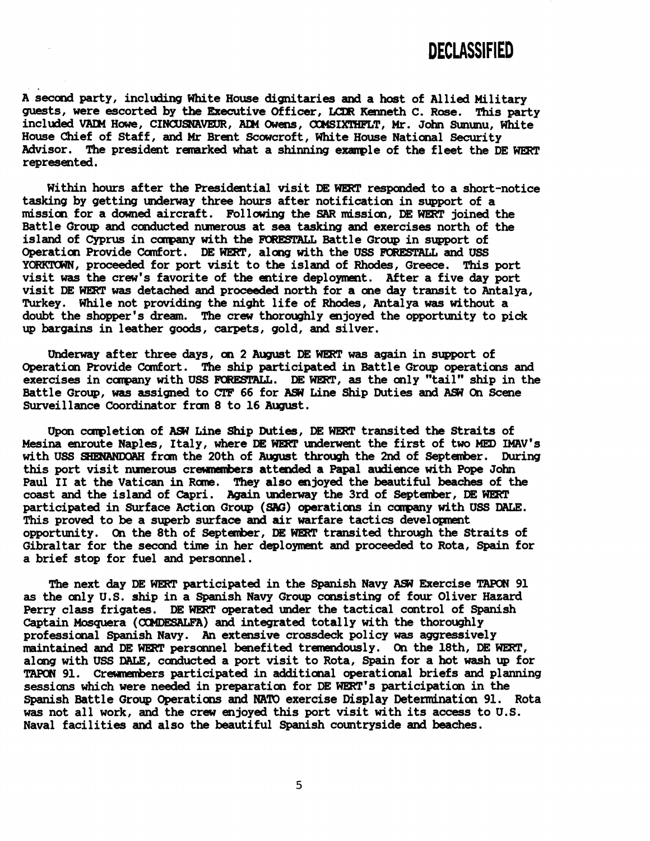A second party, including White House dignitaries and a host of Allied Military<br>guests, were escorted by the Executive Officer, LCDR Kenneth C. Rose. This party **guests, were escorted by** the **Executive Officer, LCDR Kenneth C. Rose. This party included** VAPi **Hm, CIWSNAVRSR, API Owens,** CMMSIXTIIPZT, **Mr. John Sununu, White House Chief of Staff, and Mr Brent Scowcroft, White House National Security Advisor. The president remarked what a shinning example of the fleet the DE WarP represented.** 

Within hours after the Presidential visit DE WERT responded to a short-notice **tasking by getting underway three hours after notification in support of a mission for a downed aircraft. Following the SAR mission, DE w joined the Battle Croup and conducted nunerous at sea tasking and exercises north of the**  island of Cyprus in company with the FORESTALL Battle Group in support of Operation Provide Comfort. DE WERT, along with the USS FORESTALL and USS YORKTOWN, proceeded for port visit to the island of Rhodes, Greece. This port **visit was the crew's favorite of the entire deployment. After a five &y port visit DE was detached and proceeded north for a one day transit to Antalya, Turkey. While not providing the night life of Rhodes, Antalya was without a doubt the shopper's dream. The crew thoroughly enjoyed the opportunity to pick up bargains in leather goods, carpets, gold, and silver.** 

**Underway after three days, on 2 August DE WERT was again in support of**  Operation Provide Comfort. The ship participated in Battle Group operations and exercises in company with USS FORESTALL. DE WERT, as the only "tail" ship in the **Battle Group, was assigned to CTF 66 for AS? Line Ship Duties and AS? On Scene Surveillance Coordinator fran 8 to 16 August.** 

Upcm **carpletion of AS? Line Ship Duties, DE WEIET transited the Straits of**  Mesina enroute Naples, Italy, where DE WERT underwent the first of two MED IMAV's with USS SHENANDOAH from the 20th of August through the 2nd of September. During **this port visit nunerous crewnmbers attaded a Papal audience with Pope John**  Paul II at the Vatican in Rome. They also enjoyed the beautiful beaches of the coast and the island of Capri. Again underway the 3rd of September, DE WERT **participated in Surface Action Group (SAG) operations in company with USS DALE. This proved to be a superb surface and air warfare tactics developnent opportunity.** On the 8th of September, DE WERT transited through the Straits of **Gibraltar for the second time in her deployment and proceeded to Rota,** *Spain* **for a brief stop for fuel and personnel.** 

**The next &y DE WHIT participated in the Spanish Navy AS? Exercise TAPON 91**  as the only U.S. ship in a Spanish Navy Group consisting of four Oliver Hazard Perry class frigates. DE WERT operated under the tactical control of Spanish Captain Mosquera (COMDESALFA) and integrated totally with the thoroughly **professimal Spanish Navy. An extensive crossdeck policy was aggressively maintained and DE WERT personnel benefited tremendously. On the 18th, DE WERT, along with USS** DALE, **conducted a port visit to Rota, Spain for a hot wash up for TAPON 91.** Crewmembers participated in additional operational briefs and planning sessions which were needed in preparation for DE WERT's participation in the **Spanish Battle Group Operations and** NATO **exercise Display Detemdnation 91. Rota was not all work, and the crew enjoyed this port visit with its access to U.S. Naval facilities and also the beautiful Spanish countryside and beaches.**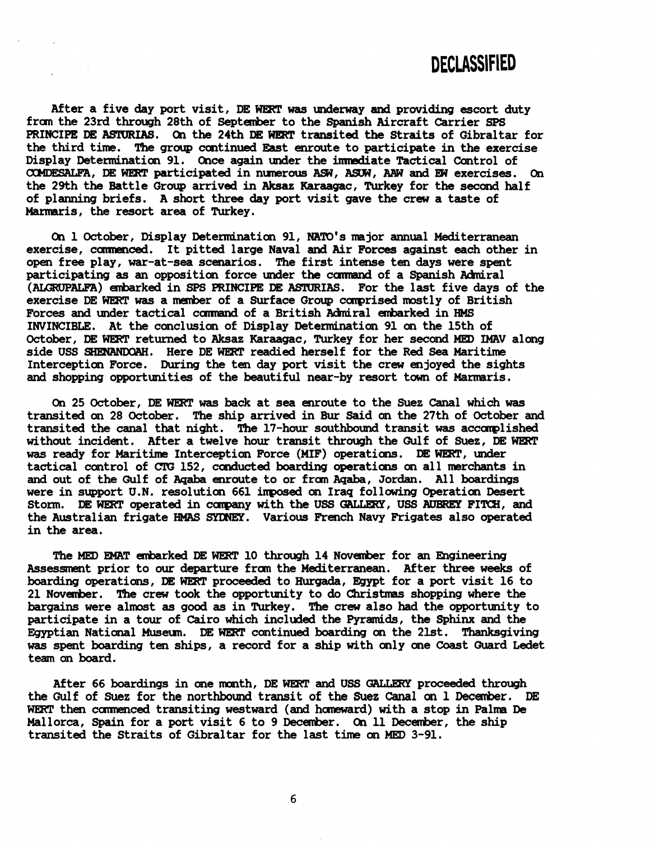After a five day port visit, DE WERT was underway and providing escort duty **fran the 23rd through 28th of September to the Spanish Aircraft Carrier SPS PRINCIPE DE ASTURIAS.** On the 24th DE WERT transited the Straits of Gibraltar for **the third time. The group continued East enroute to participate in the exercise**  Display Determination 91. Once again under the immediate Tactical Control of CXIMDESALFA, **DE WEIRT participated in nunerous ASW, ASH, AAW and W exercises. On the 29th the Battle Group arrived in** *Aksaz* **Karaagac, Turkey for the second half of planning briefs. A short three &y port visit gave the crew a taste of Mamaris, the resort area of Turkey.** 

**On 1 October, Display Detenninatim 91, NATO's major annual Mediterranean**  exercise, commenced. It pitted large Naval and Air Forces against each other in **open free play, war-at-sea scenarios. The first intense ten days were spent**  participating as an opposition force under the command of a Spanish Admiral (ALGRUPALFA) embarked in SPS PRINCIPE DE ASTURIAS. For the last five days of the **exercise DE WERT was a member of a Surface Group ccmprised mostly of British**  Forces and under tactical command of a British Admiral embarked in **HMS INVINCIBLE. At the conclusion of Display Determination 91 on the 15th of October, DE WERT returned to Aksaz Karaagac, Turkey for her second MED IMAV along side USS SHWANDQAH. Here DE WERT readied herself for the Red Sea Maritime Interception Force. During the ten day port visit the crew enjoyed the sights and shopping opportunities of the beautiful near-by resort tam of Marmaris.** 

**On 25 October, DE WERT** was **back at sea enroute to the Suez Canal which was transited on 28 October. The ship arrived in Bur Said on the 27th of October and**  transited the canal that night. The 17-hour southbound transit was accomplished without incident. After a twelve hour transit through the Gulf of Suez, DE WERT **was ready for Maritime Interception Force (MIF) operations. DE WERT, mder**  tactical control of CTG 152, conducted boarding operations on all merchants in **and out of the Gulf of Aqaba enroute to or f ran Aqaba, Jordan. A1 1 boardings were in support U.N. resolution 661 inposed on Iraq following Operation Desert Storm. DE WERT operated in carpany with** the **USS** *GALURY,* **US6 AUBREY FIlW, and the Australian frigate HMAS SYDNEY. Various French Navy Frigates also operated in the area.** 

**The MED R4AT enbarked DE WERT 10 through 14 November for an Engineering Assessment prior to our departure fran the Mediterranean. After three weeks of boarding operations, DE WERT proceeded to Hurgada, Egypt for a port visit 16 to 21 November. The crew took the opportunity to do Christmas shopping where the**  bargains were almost as good as in Turkey. The crew also had the opportunity to **participate in a tour of Cairo which inclrded the Pyramids, the Sphinx and the**  Egyptian National Museum. DE WERT continued boarding on the 21st. Thanksgiving was **spent boarding ten ships, a record for a ship with only one Coast Guard Ledet team an board.** 

**After 66 boardings in one month, DE** WERT **and USS** *OlALLERY* **proceeded through the Gulf of Suez** for **the northbound transit** of **the Suez Canal an 1 December. DE**  WERT then commenced transiting westward (and homeward) with a stop in Palma De **Mallorca, Spain for a port visit 6 to 9 Decmber. On 11 December, the ship transited the Straits of Gibraltar for the last time on KED 3-91.**